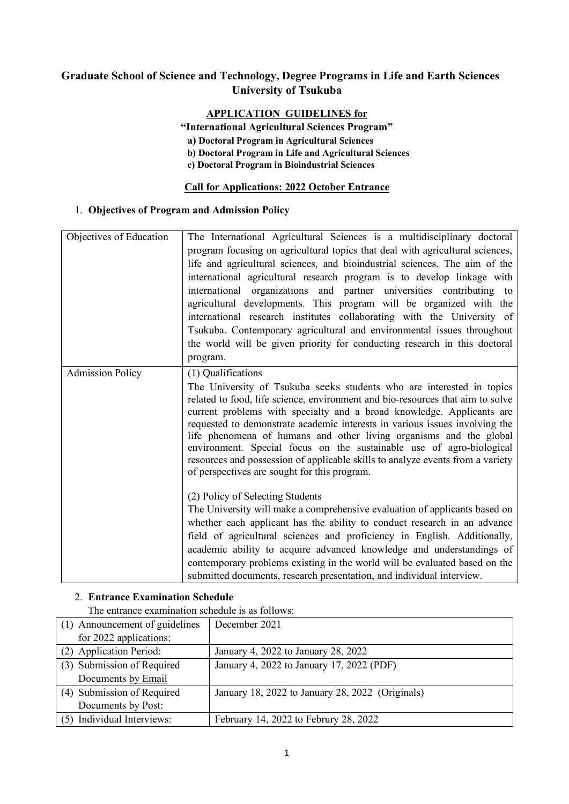# **Graduate School of Science and Technology, Degree Programs in Life and Earth Sciences University of Tsukuba**

# **APPLICATION GUIDELINES for**

**"International Agricultural Sciences Program"**

**a) Doctoral Program in Agricultural Sciences**

**b) Doctoral Program in Life and Agricultural Sciences**

**c) Doctoral Program in Bioindustrial Sciences**

### **Call for Applications: 2022 October Entrance**

### 1. **Objectives of Program and Admission Policy**

| Objectives of Education | The International Agricultural Sciences is a multidisciplinary doctoral                                                                                                                                                                                                                                                                                                                                                                                                                                                |  |  |  |  |
|-------------------------|------------------------------------------------------------------------------------------------------------------------------------------------------------------------------------------------------------------------------------------------------------------------------------------------------------------------------------------------------------------------------------------------------------------------------------------------------------------------------------------------------------------------|--|--|--|--|
|                         | program focusing on agricultural topics that deal with agricultural sciences,                                                                                                                                                                                                                                                                                                                                                                                                                                          |  |  |  |  |
|                         | life and agricultural sciences, and bioindustrial sciences. The aim of the                                                                                                                                                                                                                                                                                                                                                                                                                                             |  |  |  |  |
|                         | international agricultural research program is to develop linkage with                                                                                                                                                                                                                                                                                                                                                                                                                                                 |  |  |  |  |
|                         | international organizations and partner universities contributing to                                                                                                                                                                                                                                                                                                                                                                                                                                                   |  |  |  |  |
|                         | agricultural developments. This program will be organized with the                                                                                                                                                                                                                                                                                                                                                                                                                                                     |  |  |  |  |
|                         | international research institutes collaborating with the University of                                                                                                                                                                                                                                                                                                                                                                                                                                                 |  |  |  |  |
|                         | Tsukuba. Contemporary agricultural and environmental issues throughout                                                                                                                                                                                                                                                                                                                                                                                                                                                 |  |  |  |  |
|                         | the world will be given priority for conducting research in this doctoral                                                                                                                                                                                                                                                                                                                                                                                                                                              |  |  |  |  |
|                         |                                                                                                                                                                                                                                                                                                                                                                                                                                                                                                                        |  |  |  |  |
|                         | program.                                                                                                                                                                                                                                                                                                                                                                                                                                                                                                               |  |  |  |  |
| <b>Admission Policy</b> | (1) Qualifications                                                                                                                                                                                                                                                                                                                                                                                                                                                                                                     |  |  |  |  |
|                         | The University of Tsukuba seeks students who are interested in topics                                                                                                                                                                                                                                                                                                                                                                                                                                                  |  |  |  |  |
|                         | related to food, life science, environment and bio-resources that aim to solve<br>current problems with specialty and a broad knowledge. Applicants are<br>requested to demonstrate academic interests in various issues involving the<br>life phenomena of humans and other living organisms and the global<br>environment. Special focus on the sustainable use of agro-biological<br>resources and possession of applicable skills to analyze events from a variety<br>of perspectives are sought for this program. |  |  |  |  |
|                         | (2) Policy of Selecting Students                                                                                                                                                                                                                                                                                                                                                                                                                                                                                       |  |  |  |  |
|                         | The University will make a comprehensive evaluation of applicants based on                                                                                                                                                                                                                                                                                                                                                                                                                                             |  |  |  |  |
|                         | whether each applicant has the ability to conduct research in an advance                                                                                                                                                                                                                                                                                                                                                                                                                                               |  |  |  |  |
|                         | field of agricultural sciences and proficiency in English. Additionally,                                                                                                                                                                                                                                                                                                                                                                                                                                               |  |  |  |  |
|                         | academic ability to acquire advanced knowledge and understandings of                                                                                                                                                                                                                                                                                                                                                                                                                                                   |  |  |  |  |
|                         | contemporary problems existing in the world will be evaluated based on the                                                                                                                                                                                                                                                                                                                                                                                                                                             |  |  |  |  |
|                         | submitted documents, research presentation, and individual interview.                                                                                                                                                                                                                                                                                                                                                                                                                                                  |  |  |  |  |

# 2. **Entrance Examination Schedule**

The entrance examination schedule is as follows:

| (1) Announcement of guidelines | December 2021                                    |
|--------------------------------|--------------------------------------------------|
| for 2022 applications:         |                                                  |
| (2) Application Period:        | January 4, 2022 to January 28, 2022              |
| (3) Submission of Required     | January 4, 2022 to January 17, 2022 (PDF)        |
| Documents by Email             |                                                  |
| (4) Submission of Required     | January 18, 2022 to January 28, 2022 (Originals) |
| Documents by Post:             |                                                  |
| (5) Individual Interviews:     | February 14, 2022 to Februry 28, 2022            |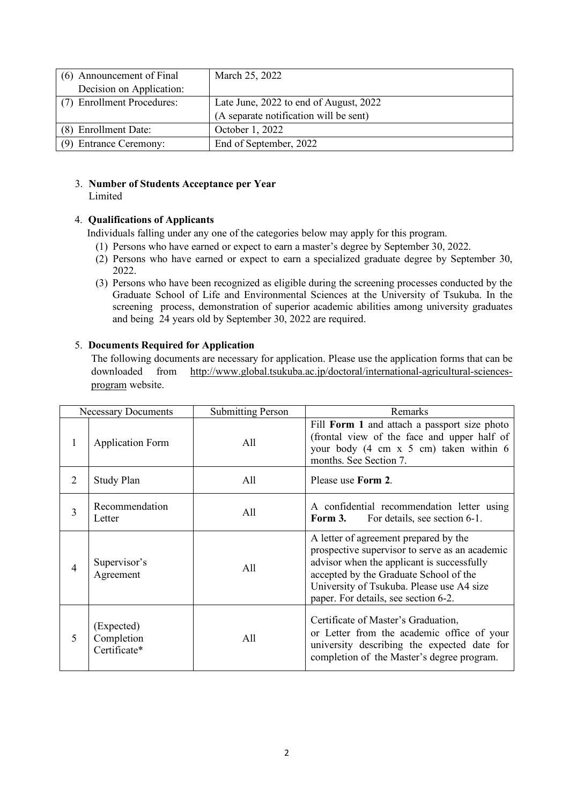| (6) Announcement of Final  | March 25, 2022                         |  |
|----------------------------|----------------------------------------|--|
| Decision on Application:   |                                        |  |
| (7) Enrollment Procedures: | Late June, 2022 to end of August, 2022 |  |
|                            | (A separate notification will be sent) |  |
| (8) Enrollment Date:       | October 1, 2022                        |  |
| (9) Entrance Ceremony:     | End of September, 2022                 |  |

#### 3. **Number of Students Acceptance per Year Limited**

# 4. **Qualifications of Applicants**

Individuals falling under any one of the categories below may apply for this program.

- (1) Persons who have earned or expect to earn a master's degree by September 30, 2022.
- (2) Persons who have earned or expect to earn a specialized graduate degree by September 30, 2022.
- (3) Persons who have been recognized as eligible during the screening processes conducted by the Graduate School of Life and Environmental Sciences at the University of Tsukuba. In the screening process, demonstration of superior academic abilities among university graduates and being 24 years old by September 30, 2022 are required.

# 5. **Documents Required for Application**

The following documents are necessary for application. Please use the application forms that can be downloaded from http://www.global.tsukuba.ac.jp/doctoral/international-agricultural-sciencesprogram website.

|   | <b>Necessary Documents</b>               | <b>Submitting Person</b> | Remarks                                                                                                                                                                                                                                                              |
|---|------------------------------------------|--------------------------|----------------------------------------------------------------------------------------------------------------------------------------------------------------------------------------------------------------------------------------------------------------------|
| 1 | <b>Application Form</b>                  | All                      | Fill Form 1 and attach a passport size photo<br>(frontal view of the face and upper half of<br>your body (4 cm x 5 cm) taken within 6<br>months. See Section 7.                                                                                                      |
| 2 | <b>Study Plan</b>                        | All                      | Please use Form 2.                                                                                                                                                                                                                                                   |
| 3 | Recommendation<br>Letter                 | All                      | A confidential recommendation letter using<br>For details, see section 6-1.<br>Form 3.                                                                                                                                                                               |
| 4 | Supervisor's<br>Agreement                | All                      | A letter of agreement prepared by the<br>prospective supervisor to serve as an academic<br>advisor when the applicant is successfully<br>accepted by the Graduate School of the<br>University of Tsukuba. Please use A4 size<br>paper. For details, see section 6-2. |
| 5 | (Expected)<br>Completion<br>Certificate* | All                      | Certificate of Master's Graduation,<br>or Letter from the academic office of your<br>university describing the expected date for<br>completion of the Master's degree program.                                                                                       |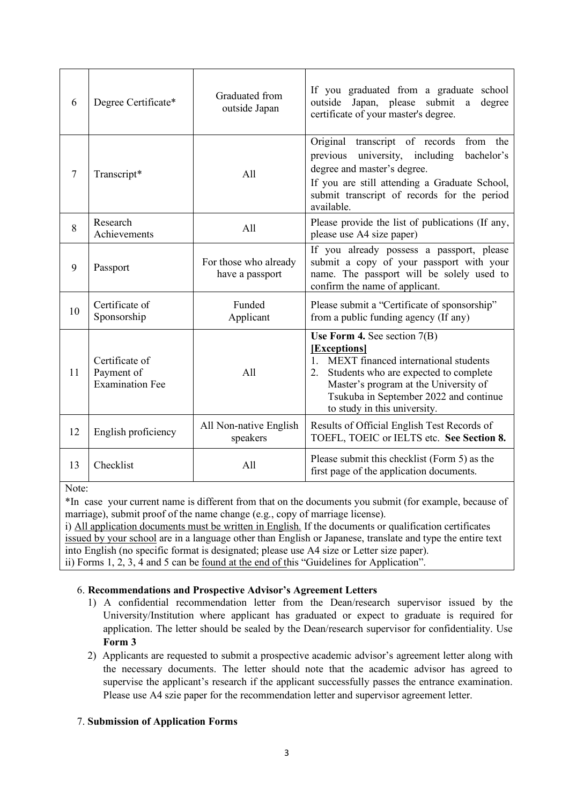| 6              | Degree Certificate*                                    | Graduated from<br>outside Japan          | If you graduated from a graduate school<br>Japan, please submit<br>outside<br>degree<br>a<br>certificate of your master's degree.                                                                                                                           |
|----------------|--------------------------------------------------------|------------------------------------------|-------------------------------------------------------------------------------------------------------------------------------------------------------------------------------------------------------------------------------------------------------------|
| $\overline{7}$ | Transcript*                                            | All                                      | Original transcript of records<br>from the<br>university, including<br>previous<br>bachelor's<br>degree and master's degree.<br>If you are still attending a Graduate School,<br>submit transcript of records for the period<br>available.                  |
| 8              | Research<br>Achievements                               | All                                      | Please provide the list of publications (If any,<br>please use A4 size paper)                                                                                                                                                                               |
| 9              | Passport                                               | For those who already<br>have a passport | If you already possess a passport, please<br>submit a copy of your passport with your<br>name. The passport will be solely used to<br>confirm the name of applicant.                                                                                        |
| 10             | Certificate of<br>Sponsorship                          | Funded<br>Applicant                      | Please submit a "Certificate of sponsorship"<br>from a public funding agency (If any)                                                                                                                                                                       |
| 11             | Certificate of<br>Payment of<br><b>Examination Fee</b> | All                                      | Use Form 4. See section $7(B)$<br>[Exceptions]<br>1. MEXT financed international students<br>Students who are expected to complete<br>2.<br>Master's program at the University of<br>Tsukuba in September 2022 and continue<br>to study in this university. |
| 12             | English proficiency                                    | All Non-native English<br>speakers       | Results of Official English Test Records of<br>TOEFL, TOEIC or IELTS etc. See Section 8.                                                                                                                                                                    |
| 13             | Checklist                                              | All                                      | Please submit this checklist (Form 5) as the<br>first page of the application documents.                                                                                                                                                                    |

Note:

\*In case your current name is different from that on the documents you submit (for example, because of marriage), submit proof of the name change (e.g., copy of marriage license).

i) All application documents must be written in English. If the documents or qualification certificates issued by your school are in a language other than English or Japanese, translate and type the entire text into English (no specific format is designated; please use A4 size or Letter size paper). ii) Forms 1, 2, 3, 4 and 5 can be found at the end of this "Guidelines for Application".

# 6. **Recommendations and Prospective Advisor's Agreement Letters**

- 1) A confidential recommendation letter from the Dean/research supervisor issued by the University/Institution where applicant has graduated or expect to graduate is required for application. The letter should be sealed by the Dean/research supervisor for confidentiality. Use **Form 3**
- 2) Applicants are requested to submit a prospective academic advisor's agreement letter along with the necessary documents. The letter should note that the academic advisor has agreed to supervise the applicant's research if the applicant successfully passes the entrance examination. Please use A4 szie paper for the recommendation letter and supervisor agreement letter.

# 7. **Submission of Application Forms**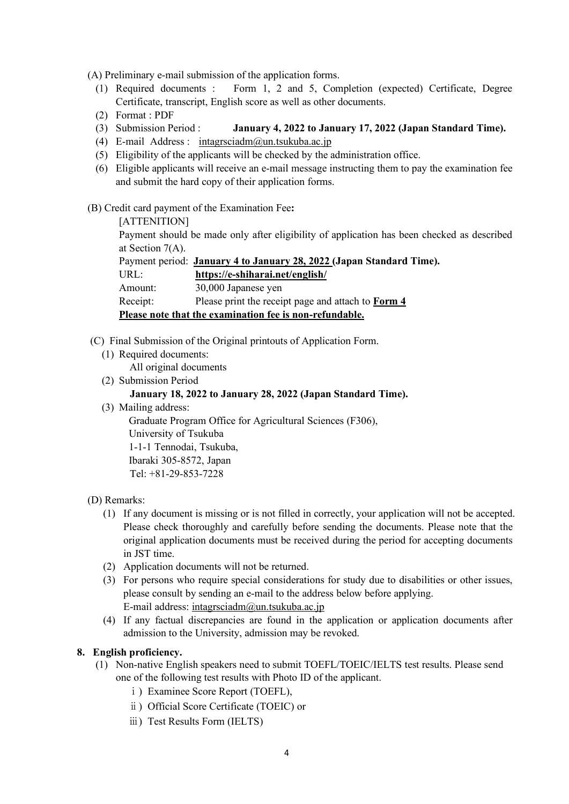(A) Preliminary e-mail submission of the application forms.

- (1) Required documents : Form 1, 2 and 5, Completion (expected) Certificate, Degree Certificate, transcript, English score as well as other documents.
- (2) Format : PDF
- (3) Submission Period : **January 4, 2022 to January 17, 2022 (Japan Standard Time).**
- (4) E-mail Address : intagrsciadm $@$ un.tsukuba.ac.jp
- (5) Eligibility of the applicants will be checked by the administration office.
- (6) Eligible applicants will receive an e-mail message instructing them to pay the examination fee and submit the hard copy of their application forms.

### (B) Credit card payment of the Examination Fee**:**

[ATTENITION] Payment should be made only after eligibility of application has been checked as described at Section 7(A). Payment period: **January 4 to January 28, 2022 (Japan Standard Time).** URL: **https://e-shiharai.net/english/** Amount: 30,000 Japanese yen Receipt: Please print the receipt page and attach to **Form 4 Please note that the examination fee is non-refundable.** 

- (C) Final Submission of the Original printouts of Application Form.
	- (1) Required documents:

All original documents

(2) Submission Period

#### **January 18, 2022 to January 28, 2022 (Japan Standard Time).**

(3) Mailing address:

Graduate Program Office for Agricultural Sciences (F306), University of Tsukuba 1-1-1 Tennodai, Tsukuba, Ibaraki 305-8572, Japan Tel: +81-29-853-7228

- 
- (D) Remarks:
	- (1) If any document is missing or is not filled in correctly, your application will not be accepted. Please check thoroughly and carefully before sending the documents. Please note that the original application documents must be received during the period for accepting documents in JST time.
	- (2) Application documents will not be returned.
	- (3) For persons who require special considerations for study due to disabilities or other issues, please consult by sending an e-mail to the address below before applying. E-mail address: intagrsciadm@un.tsukuba.ac.jp
	- (4) If any factual discrepancies are found in the application or application documents after admission to the University, admission may be revoked.

# **8. English proficiency.**

- (1) Non-native English speakers need to submit TOEFL/TOEIC/IELTS test results. Please send one of the following test results with Photo ID of the applicant.
	- ⅰ) Examinee Score Report (TOEFL),
	- ⅱ) Official Score Certificate (TOEIC) or
	- ⅲ) Test Results Form (IELTS)